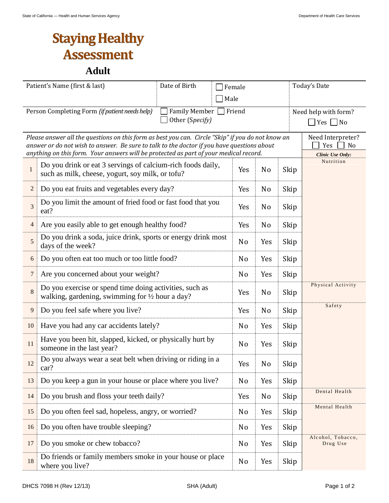## **Staying Healthy Assessment**

**Adult**

| Date of Birth<br>Patient's Name (first & last)                                   |                                                                                                                                                                                                                                                                                                                                                            | Female         |                |      | Today's Date                  |  |  |  |  |
|----------------------------------------------------------------------------------|------------------------------------------------------------------------------------------------------------------------------------------------------------------------------------------------------------------------------------------------------------------------------------------------------------------------------------------------------------|----------------|----------------|------|-------------------------------|--|--|--|--|
|                                                                                  | Male                                                                                                                                                                                                                                                                                                                                                       |                |                |      |                               |  |  |  |  |
| <b>Family Member</b><br>Person Completing Form (if patient needs help)<br>Friend |                                                                                                                                                                                                                                                                                                                                                            |                |                |      | Need help with form?          |  |  |  |  |
|                                                                                  | Other (Specify)<br>$\Box$ Yes $\Box$ No                                                                                                                                                                                                                                                                                                                    |                |                |      |                               |  |  |  |  |
|                                                                                  | Please answer all the questions on this form as best you can. Circle "Skip" if you do not know an<br>Need Interpreter?<br>answer or do not wish to answer. Be sure to talk to the doctor if you have questions about<br>N <sub>o</sub><br>Yes<br>anything on this form. Your answers will be protected as part of your medical record.<br>Clinic Use Only: |                |                |      |                               |  |  |  |  |
| $\mathbf{1}$                                                                     | Do you drink or eat 3 servings of calcium-rich foods daily,<br>such as milk, cheese, yogurt, soy milk, or tofu?                                                                                                                                                                                                                                            | Yes            | N <sub>o</sub> | Skip | Nutrition                     |  |  |  |  |
| 2                                                                                | Do you eat fruits and vegetables every day?                                                                                                                                                                                                                                                                                                                | Yes            | N <sub>o</sub> | Skip |                               |  |  |  |  |
| 3                                                                                | Do you limit the amount of fried food or fast food that you<br>eat?                                                                                                                                                                                                                                                                                        | Yes            | N <sub>o</sub> | Skip |                               |  |  |  |  |
| 4                                                                                | Are you easily able to get enough healthy food?                                                                                                                                                                                                                                                                                                            | Yes            | N <sub>o</sub> | Skip |                               |  |  |  |  |
| 5                                                                                | Do you drink a soda, juice drink, sports or energy drink most<br>days of the week?                                                                                                                                                                                                                                                                         | N <sub>0</sub> | Yes            | Skip |                               |  |  |  |  |
| 6                                                                                | Do you often eat too much or too little food?                                                                                                                                                                                                                                                                                                              | N <sub>o</sub> | Yes            | Skip |                               |  |  |  |  |
| 7                                                                                | Are you concerned about your weight?                                                                                                                                                                                                                                                                                                                       | N <sub>o</sub> | Yes            | Skip |                               |  |  |  |  |
| 8                                                                                | Do you exercise or spend time doing activities, such as<br>walking, gardening, swimming for $\frac{1}{2}$ hour a day?                                                                                                                                                                                                                                      | Yes            | N <sub>o</sub> | Skip | Physical Activity             |  |  |  |  |
| 9                                                                                | Do you feel safe where you live?                                                                                                                                                                                                                                                                                                                           | Yes            | N <sub>o</sub> | Skip | Safety                        |  |  |  |  |
| 10                                                                               | Have you had any car accidents lately?                                                                                                                                                                                                                                                                                                                     | N <sub>0</sub> | Yes            | Skip |                               |  |  |  |  |
| 11                                                                               | Have you been hit, slapped, kicked, or physically hurt by<br>someone in the last year?                                                                                                                                                                                                                                                                     | N <sub>0</sub> | Yes            | Skip |                               |  |  |  |  |
| 12                                                                               | Do you always wear a seat belt when driving or riding in a<br>car?                                                                                                                                                                                                                                                                                         | Yes            | N <sub>o</sub> | Skip |                               |  |  |  |  |
| 13                                                                               | Do you keep a gun in your house or place where you live?                                                                                                                                                                                                                                                                                                   | N <sub>0</sub> | Yes            | Skip |                               |  |  |  |  |
| 14                                                                               | Do you brush and floss your teeth daily?                                                                                                                                                                                                                                                                                                                   | Yes            | N <sub>0</sub> | Skip | Dental Health                 |  |  |  |  |
| 15                                                                               | Do you often feel sad, hopeless, angry, or worried?                                                                                                                                                                                                                                                                                                        | N <sub>0</sub> | Yes            | Skip | Mental Health                 |  |  |  |  |
| 16                                                                               | Do you often have trouble sleeping?                                                                                                                                                                                                                                                                                                                        | N <sub>0</sub> | Yes            | Skip |                               |  |  |  |  |
| 17                                                                               | Do you smoke or chew tobacco?                                                                                                                                                                                                                                                                                                                              | N <sub>0</sub> | Yes            | Skip | Alcohol, Tobacco,<br>Drug Use |  |  |  |  |
| 18                                                                               | Do friends or family members smoke in your house or place<br>where you live?                                                                                                                                                                                                                                                                               | N <sub>o</sub> | Yes            | Skip |                               |  |  |  |  |